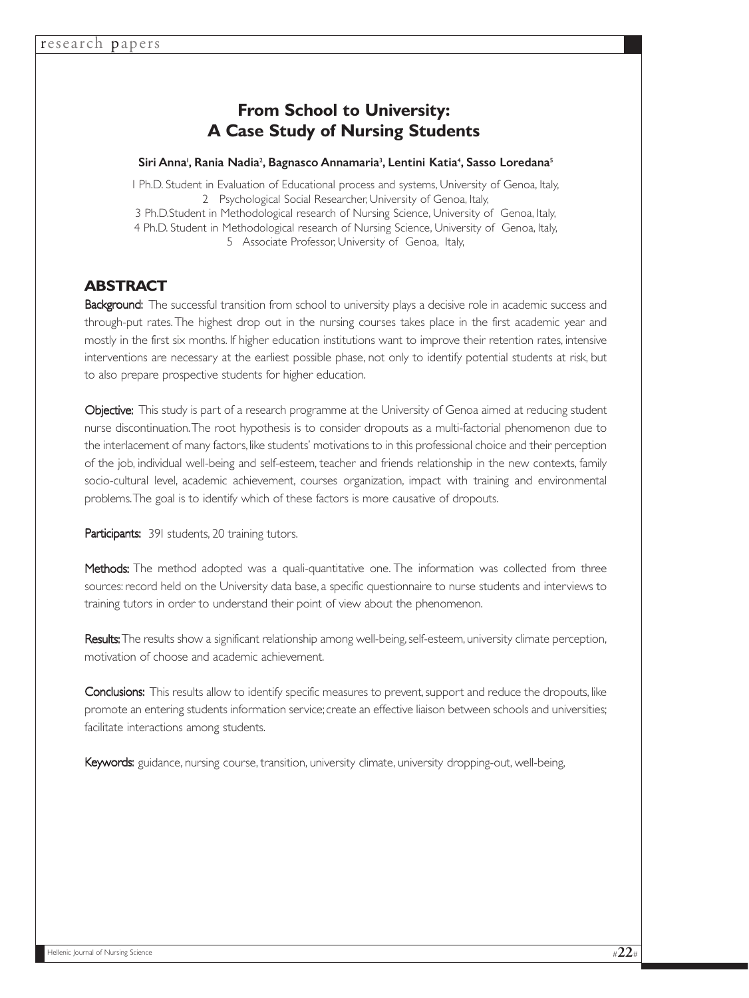# **From School to University: A Case Study of Nursing Students**

## Siri Anna', Rania Nadia<sup>2</sup>, Bagnasco Annamaria<sup>3</sup>, Lentini Katia<sup>4</sup>, Sasso Loredana<sup>s</sup>

1 Ph.D. Student in Evaluation of Educational process and systems, University of Genoa, Italy, 2 Psychological Social Researcher, University of Genoa, Italy, 3 Ph.D.Student in Methodological research of Nursing Science, University of Genoa, Italy, 4 Ph.D. Student in Methodological research of Nursing Science, University of Genoa, Italy, 5 Associate Professor, University of Genoa, Italy,

## **ABSTRACT**

Background: The successful transition from school to university plays a decisive role in academic success and through-put rates. The highest drop out in the nursing courses takes place in the first academic year and mostly in the first six months. If higher education institutions want to improve their retention rates, intensive interventions are necessary at the earliest possible phase, not only to identify potential students at risk, but to also prepare prospective students for higher education.

Objective: This study is part of a research programme at the University of Genoa aimed at reducing student nurse discontinuation.The root hypothesis is to consider dropouts as a multi-factorial phenomenon due to the interlacement of many factors, like students' motivations to in this professional choice and their perception of the job, individual well-being and self-esteem, teacher and friends relationship in the new contexts, family socio-cultural level, academic achievement, courses organization, impact with training and environmental problems.The goal is to identify which of these factors is more causative of dropouts.

Participants: 391 students, 20 training tutors.

Methods: The method adopted was a quali-quantitative one. The information was collected from three sources: record held on the University data base, a specific questionnaire to nurse students and interviews to training tutors in order to understand their point of view about the phenomenon.

Results: The results show a significant relationship among well-being, self-esteem, university climate perception, motivation of choose and academic achievement.

Conclusions: This results allow to identify specific measures to prevent, support and reduce the dropouts, like promote an entering students information service;create an effective liaison between schools and universities; facilitate interactions among students.

Keywords: guidance, nursing course, transition, university climate, university dropping-out, well-being,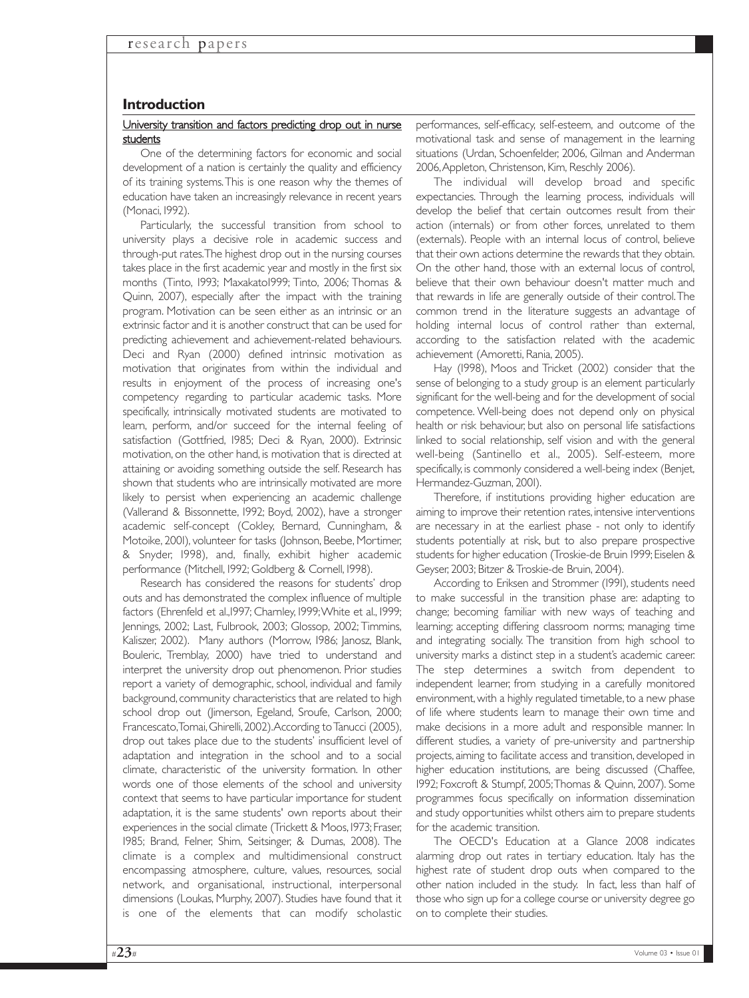## **Introduction**

#### University transition and factors predicting drop out in nurse students

One of the determining factors for economic and social development of a nation is certainly the quality and efficiency of its training systems.This is one reason why the themes of education have taken an increasingly relevance in recent years (Monaci, 1992).

Particularly, the successful transition from school to university plays a decisive role in academic success and through-put rates.The highest drop out in the nursing courses takes place in the first academic year and mostly in the first six months (Tinto, 1993; Maxakato1999; Tinto, 2006; Thomas & Quinn, 2007), especially after the impact with the training program. Motivation can be seen either as an intrinsic or an extrinsic factor and it is another construct that can be used for predicting achievement and achievement-related behaviours. Deci and Ryan (2000) defined intrinsic motivation as motivation that originates from within the individual and results in enjoyment of the process of increasing one's competency regarding to particular academic tasks. More specifically, intrinsically motivated students are motivated to learn, perform, and/or succeed for the internal feeling of satisfaction (Gottfried, 1985; Deci & Ryan, 2000). Extrinsic motivation, on the other hand, is motivation that is directed at attaining or avoiding something outside the self. Research has shown that students who are intrinsically motivated are more likely to persist when experiencing an academic challenge (Vallerand & Bissonnette, 1992; Boyd, 2002), have a stronger academic self-concept (Cokley, Bernard, Cunningham, & Motoike, 2001), volunteer for tasks (Johnson, Beebe, Mortimer, & Snyder, 1998), and, finally, exhibit higher academic performance (Mitchell, 1992; Goldberg & Cornell, 1998).

Research has considered the reasons for students' drop outs and has demonstrated the complex influence of multiple factors (Ehrenfeld et al.,1997; Charnley, 1999; White et al., 1999; Jennings, 2002; Last, Fulbrook, 2003; Glossop, 2002; Timmins, Kaliszer, 2002). Many authors (Morrow, 1986; Janosz, Blank, Bouleric, Tremblay, 2000) have tried to understand and interpret the university drop out phenomenon. Prior studies report a variety of demographic, school, individual and family background, community characteristics that are related to high school drop out (Jimerson, Egeland, Sroufe, Carlson, 2000; Francescato,Tomai,Ghirelli,2002).According to Tanucci (2005), drop out takes place due to the students' insufficient level of adaptation and integration in the school and to a social climate, characteristic of the university formation. In other words one of those elements of the school and university context that seems to have particular importance for student adaptation, it is the same students' own reports about their experiences in the social climate (Trickett & Moos, 1973; Fraser, 1985; Brand, Felner, Shim, Seitsinger, & Dumas, 2008). The climate is a complex and multidimensional construct encompassing atmosphere, culture, values, resources, social network, and organisational, instructional, interpersonal dimensions (Loukas, Murphy, 2007). Studies have found that it is one of the elements that can modify scholastic

performances, self-efficacy, self-esteem, and outcome of the motivational task and sense of management in the learning situations (Urdan, Schoenfelder, 2006, Gilman and Anderman 2006,Appleton, Christenson, Kim, Reschly 2006).

The individual will develop broad and specific expectancies. Through the learning process, individuals will develop the belief that certain outcomes result from their action (internals) or from other forces, unrelated to them (externals). People with an internal locus of control, believe that their own actions determine the rewards that they obtain. On the other hand, those with an external locus of control, believe that their own behaviour doesn't matter much and that rewards in life are generally outside of their control.The common trend in the literature suggests an advantage of holding internal locus of control rather than external, according to the satisfaction related with the academic achievement (Amoretti, Rania, 2005).

Hay (1998), Moos and Tricket (2002) consider that the sense of belonging to a study group is an element particularly significant for the well-being and for the development of social competence. Well-being does not depend only on physical health or risk behaviour, but also on personal life satisfactions linked to social relationship, self vision and with the general well-being (Santinello et al., 2005). Self-esteem, more specifically, is commonly considered a well-being index (Benjet, Hermandez-Guzman, 2001).

Therefore, if institutions providing higher education are aiming to improve their retention rates, intensive interventions are necessary in at the earliest phase - not only to identify students potentially at risk, but to also prepare prospective students for higher education (Troskie-de Bruin 1999; Eiselen & Geyser, 2003; Bitzer & Troskie-de Bruin, 2004).

According to Eriksen and Strommer (1991), students need to make successful in the transition phase are: adapting to change; becoming familiar with new ways of teaching and learning; accepting differing classroom norms; managing time and integrating socially. The transition from high school to university marks a distinct step in a student's academic career. The step determines a switch from dependent to independent learner, from studying in a carefully monitored environment, with a highly regulated timetable, to a new phase of life where students learn to manage their own time and make decisions in a more adult and responsible manner. In different studies, a variety of pre-university and partnership projects, aiming to facilitate access and transition, developed in higher education institutions, are being discussed (Chaffee, 1992; Foxcroft & Stumpf, 2005;Thomas & Quinn, 2007). Some programmes focus specifically on information dissemination and study opportunities whilst others aim to prepare students for the academic transition.

The OECD's Education at a Glance 2008 indicates alarming drop out rates in tertiary education. Italy has the highest rate of student drop outs when compared to the other nation included in the study. In fact, less than half of those who sign up for a college course or university degree go on to complete their studies.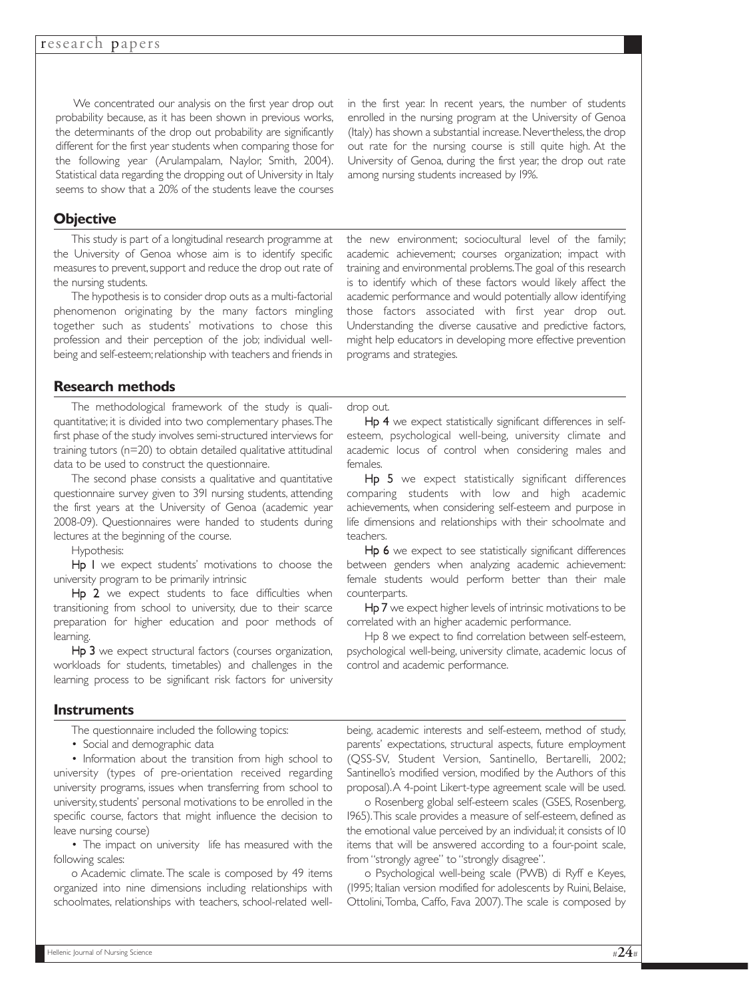We concentrated our analysis on the first year drop out probability because, as it has been shown in previous works, the determinants of the drop out probability are significantly different for the first year students when comparing those for the following year (Arulampalam, Naylor, Smith, 2004). Statistical data regarding the dropping out of University in Italy seems to show that a 20% of the students leave the courses

## **Objective**

This study is part of a longitudinal research programme at the University of Genoa whose aim is to identify specific measures to prevent, support and reduce the drop out rate of the nursing students.

The hypothesis is to consider drop outs as a multi-factorial phenomenon originating by the many factors mingling together such as students' motivations to chose this profession and their perception of the job; individual wellbeing and self-esteem; relationship with teachers and friends in

**Research methods**

The methodological framework of the study is qualiquantitative; it is divided into two complementary phases.The first phase of the study involves semi-structured interviews for training tutors (n=20) to obtain detailed qualitative attitudinal data to be used to construct the questionnaire.

The second phase consists a qualitative and quantitative questionnaire survey given to 391 nursing students, attending the first years at the University of Genoa (academic year 2008-09). Questionnaires were handed to students during lectures at the beginning of the course.

Hypothesis:

Hp I we expect students' motivations to choose the university program to be primarily intrinsic

Hp 2 we expect students to face difficulties when transitioning from school to university, due to their scarce preparation for higher education and poor methods of learning.

Hp 3 we expect structural factors (courses organization, workloads for students, timetables) and challenges in the learning process to be significant risk factors for university

## **Instruments**

The questionnaire included the following topics:

• Social and demographic data

• Information about the transition from high school to university (types of pre-orientation received regarding university programs, issues when transferring from school to university, students' personal motivations to be enrolled in the specific course, factors that might influence the decision to leave nursing course)

• The impact on university life has measured with the following scales:

o Academic climate.The scale is composed by 49 items organized into nine dimensions including relationships with schoolmates, relationships with teachers, school-related wellin the first year. In recent years, the number of students enrolled in the nursing program at the University of Genoa (Italy) has shown a substantial increase. Nevertheless, the drop out rate for the nursing course is still quite high. At the University of Genoa, during the first year, the drop out rate among nursing students increased by 19%.

the new environment; sociocultural level of the family; academic achievement; courses organization; impact with training and environmental problems.The goal of this research is to identify which of these factors would likely affect the academic performance and would potentially allow identifying those factors associated with first year drop out. Understanding the diverse causative and predictive factors, might help educators in developing more effective prevention programs and strategies.

#### drop out.

Hp 4 we expect statistically significant differences in selfesteem, psychological well-being, university climate and academic locus of control when considering males and females.

Hp 5 we expect statistically significant differences comparing students with low and high academic achievements, when considering self-esteem and purpose in life dimensions and relationships with their schoolmate and teachers.

Hp 6 we expect to see statistically significant differences between genders when analyzing academic achievement: female students would perform better than their male counterparts.

Hp 7 we expect higher levels of intrinsic motivations to be correlated with an higher academic performance.

Hp 8 we expect to find correlation between self-esteem, psychological well-being, university climate, academic locus of control and academic performance.

being, academic interests and self-esteem, method of study, parents' expectations, structural aspects, future employment (QSS-SV, Student Version, Santinello, Bertarelli, 2002; Santinello's modified version, modified by the Authors of this proposal).A 4-point Likert-type agreement scale will be used.

o Rosenberg global self-esteem scales (GSES, Rosenberg, 1965).This scale provides a measure of self-esteem, defined as the emotional value perceived by an individual; it consists of 10 items that will be answered according to a four-point scale, from "strongly agree" to "strongly disagree".

o Psychological well-being scale (PWB) di Ryff e Keyes, (1995; Italian version modified for adolescents by Ruini, Belaise, Ottolini,Tomba, Caffo, Fava 2007).The scale is composed by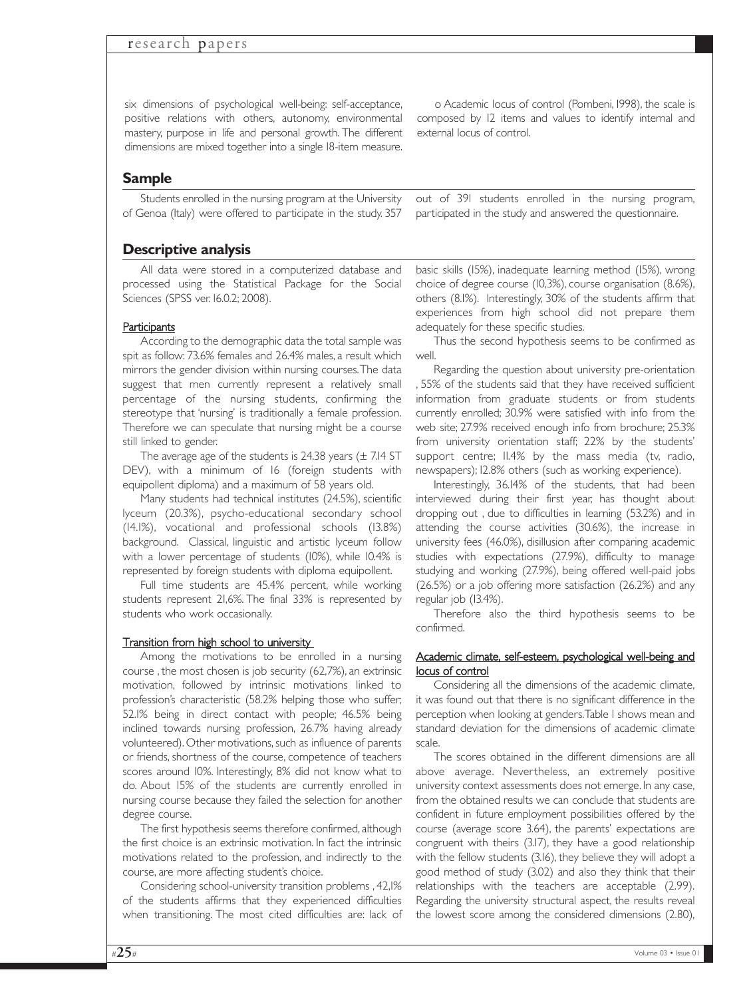six dimensions of psychological well-being: self-acceptance, positive relations with others, autonomy, environmental mastery, purpose in life and personal growth. The different dimensions are mixed together into a single 18-item measure.

o Academic locus of control (Pombeni, 1998), the scale is composed by 12 items and values to identify internal and external locus of control.

out of 391 students enrolled in the nursing program, participated in the study and answered the questionnaire.

## **Sample**

Students enrolled in the nursing program at the University of Genoa (Italy) were offered to participate in the study. 357

## **Descriptive analysis**

All data were stored in a computerized database and processed using the Statistical Package for the Social Sciences (SPSS ver. 16.0.2; 2008).

#### **Participants**

According to the demographic data the total sample was spit as follow: 73.6% females and 26.4% males, a result which mirrors the gender division within nursing courses.The data suggest that men currently represent a relatively small percentage of the nursing students, confirming the stereotype that 'nursing' is traditionally a female profession. Therefore we can speculate that nursing might be a course still linked to gender.

The average age of the students is  $24.38$  years ( $\pm$  7.14 ST DEV), with a minimum of 16 (foreign students with equipollent diploma) and a maximum of 58 years old.

Many students had technical institutes (24.5%), scientific lyceum (20.3%), psycho-educational secondary school (14.1%), vocational and professional schools (13.8%) background. Classical, linguistic and artistic lyceum follow with a lower percentage of students (10%), while 10.4% is represented by foreign students with diploma equipollent.

Full time students are 45.4% percent, while working students represent 21,6%. The final 33% is represented by students who work occasionally.

#### Transition from high school to university

Among the motivations to be enrolled in a nursing course , the most chosen is job security (62,7%), an extrinsic motivation, followed by intrinsic motivations linked to profession's characteristic (58.2% helping those who suffer; 52.1% being in direct contact with people; 46.5% being inclined towards nursing profession, 26.7% having already volunteered). Other motivations, such as influence of parents or friends, shortness of the course, competence of teachers scores around 10%. Interestingly, 8% did not know what to do. About 15% of the students are currently enrolled in nursing course because they failed the selection for another degree course.

The first hypothesis seems therefore confirmed, although the first choice is an extrinsic motivation. In fact the intrinsic motivations related to the profession, and indirectly to the course, are more affecting student's choice.

Considering school-university transition problems , 42,1% of the students affirms that they experienced difficulties when transitioning. The most cited difficulties are: lack of basic skills (15%), inadequate learning method (15%), wrong choice of degree course (10,3%), course organisation (8.6%), others (8.1%). Interestingly, 30% of the students affirm that experiences from high school did not prepare them adequately for these specific studies.

Thus the second hypothesis seems to be confirmed as well.

Regarding the question about university pre-orientation , 55% of the students said that they have received sufficient information from graduate students or from students currently enrolled; 30.9% were satisfied with info from the web site; 27.9% received enough info from brochure; 25.3% from university orientation staff; 22% by the students' support centre; II.4% by the mass media (tv, radio, newspapers); 12.8% others (such as working experience).

Interestingly, 36.14% of the students, that had been interviewed during their first year, has thought about dropping out , due to difficulties in learning (53.2%) and in attending the course activities (30.6%), the increase in university fees (46.0%), disillusion after comparing academic studies with expectations (27.9%), difficulty to manage studying and working (27.9%), being offered well-paid jobs (26.5%) or a job offering more satisfaction (26.2%) and any regular job (13.4%).

Therefore also the third hypothesis seems to be confirmed.

#### Academic climate, self-esteem, psychological well-being and locus of control

Considering all the dimensions of the academic climate, it was found out that there is no significant difference in the perception when looking at genders.Table 1 shows mean and standard deviation for the dimensions of academic climate scale.

The scores obtained in the different dimensions are all above average. Nevertheless, an extremely positive university context assessments does not emerge. In any case, from the obtained results we can conclude that students are confident in future employment possibilities offered by the course (average score 3.64), the parents' expectations are congruent with theirs (3.17), they have a good relationship with the fellow students (3.16), they believe they will adopt a good method of study (3.02) and also they think that their relationships with the teachers are acceptable (2.99). Regarding the university structural aspect, the results reveal the lowest score among the considered dimensions (2.80),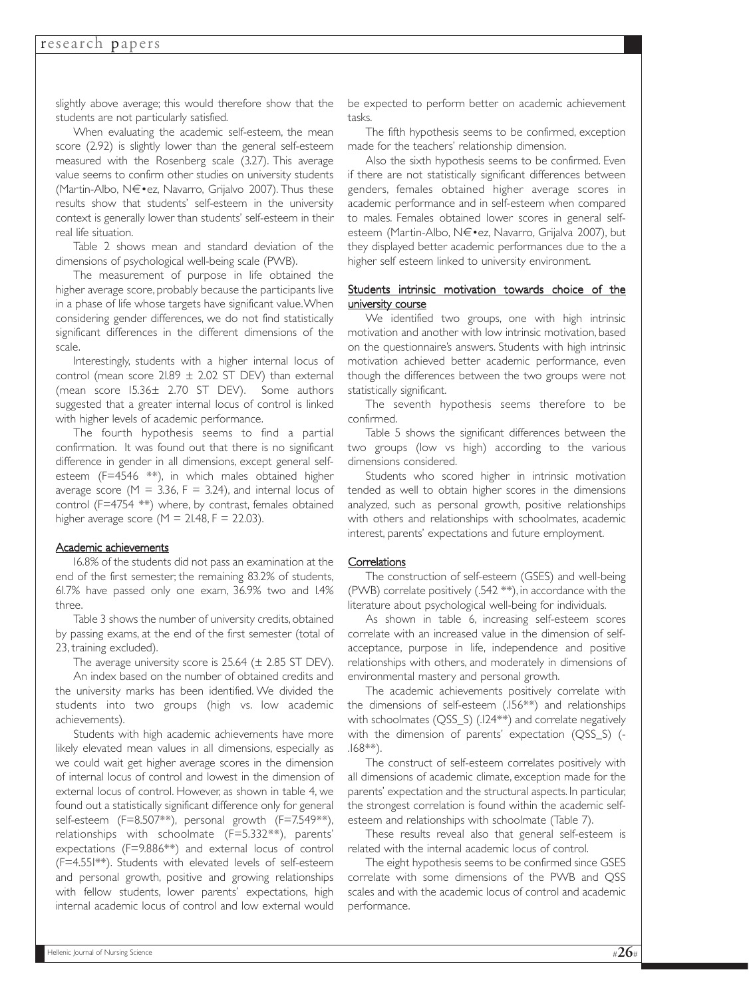slightly above average; this would therefore show that the students are not particularly satisfied.

When evaluating the academic self-esteem, the mean score (2.92) is slightly lower than the general self-esteem measured with the Rosenberg scale (3.27). This average value seems to confirm other studies on university students (Martin-Albo, Nۥez, Navarro, Grijalvo 2007). Thus these results show that students' self-esteem in the university context is generally lower than students' self-esteem in their real life situation.

Table 2 shows mean and standard deviation of the dimensions of psychological well-being scale (PWB).

The measurement of purpose in life obtained the higher average score, probably because the participants live in a phase of life whose targets have significant value.When considering gender differences, we do not find statistically significant differences in the different dimensions of the scale.

Interestingly, students with a higher internal locus of control (mean score  $21.89 \pm 2.02$  ST DEV) than external (mean score 15.36± 2.70 ST DEV). Some authors suggested that a greater internal locus of control is linked with higher levels of academic performance.

The fourth hypothesis seems to find a partial confirmation. It was found out that there is no significant difference in gender in all dimensions, except general selfesteem (F=4546 \*\*), in which males obtained higher average score ( $M = 3.36$ ,  $F = 3.24$ ), and internal locus of control (F=4754 \*\*) where, by contrast, females obtained higher average score ( $M = 21.48$ ,  $F = 22.03$ ).

#### Academic achievements

16.8% of the students did not pass an examination at the end of the first semester; the remaining 83.2% of students, 61.7% have passed only one exam, 36.9% two and 1.4% three.

Table 3 shows the number of university credits, obtained by passing exams, at the end of the first semester (total of 23, training excluded).

The average university score is  $25.64 \ (\pm \ 2.85 \text{ ST DEV}).$ 

An index based on the number of obtained credits and the university marks has been identified. We divided the students into two groups (high vs. low academic achievements).

Students with high academic achievements have more likely elevated mean values in all dimensions, especially as we could wait get higher average scores in the dimension of internal locus of control and lowest in the dimension of external locus of control. However, as shown in table 4, we found out a statistically significant difference only for general self-esteem (F=8.507\*\*), personal growth (F=7.549\*\*), relationships with schoolmate (F=5.332\*\*), parents' expectations (F=9.886\*\*) and external locus of control (F=4.551\*\*). Students with elevated levels of self-esteem and personal growth, positive and growing relationships with fellow students, lower parents' expectations, high internal academic locus of control and low external would

be expected to perform better on academic achievement tasks.

The fifth hypothesis seems to be confirmed, exception made for the teachers' relationship dimension.

Also the sixth hypothesis seems to be confirmed. Even if there are not statistically significant differences between genders, females obtained higher average scores in academic performance and in self-esteem when compared to males. Females obtained lower scores in general selfesteem (Martin-Albo, Nۥez, Navarro, Grijalva 2007), but they displayed better academic performances due to the a higher self esteem linked to university environment.

#### Students intrinsic motivation towards choice of the university course

We identified two groups, one with high intrinsic motivation and another with low intrinsic motivation, based on the questionnaire's answers. Students with high intrinsic motivation achieved better academic performance, even though the differences between the two groups were not statistically significant.

The seventh hypothesis seems therefore to be confirmed.

Table 5 shows the significant differences between the two groups (low vs high) according to the various dimensions considered.

Students who scored higher in intrinsic motivation tended as well to obtain higher scores in the dimensions analyzed, such as personal growth, positive relationships with others and relationships with schoolmates, academic interest, parents' expectations and future employment.

#### **Correlations**

The construction of self-esteem (GSES) and well-being (PWB) correlate positively (.542 \*\*), in accordance with the literature about psychological well-being for individuals.

As shown in table 6, increasing self-esteem scores correlate with an increased value in the dimension of selfacceptance, purpose in life, independence and positive relationships with others, and moderately in dimensions of environmental mastery and personal growth.

The academic achievements positively correlate with the dimensions of self-esteem (.156\*\*) and relationships with schoolmates (QSS\_S) (.124\*\*) and correlate negatively with the dimension of parents' expectation (QSS\_S) (- .168\*\*).

The construct of self-esteem correlates positively with all dimensions of academic climate, exception made for the parents' expectation and the structural aspects. In particular, the strongest correlation is found within the academic selfesteem and relationships with schoolmate (Table 7).

These results reveal also that general self-esteem is related with the internal academic locus of control.

The eight hypothesis seems to be confirmed since GSES correlate with some dimensions of the PWB and QSS scales and with the academic locus of control and academic performance.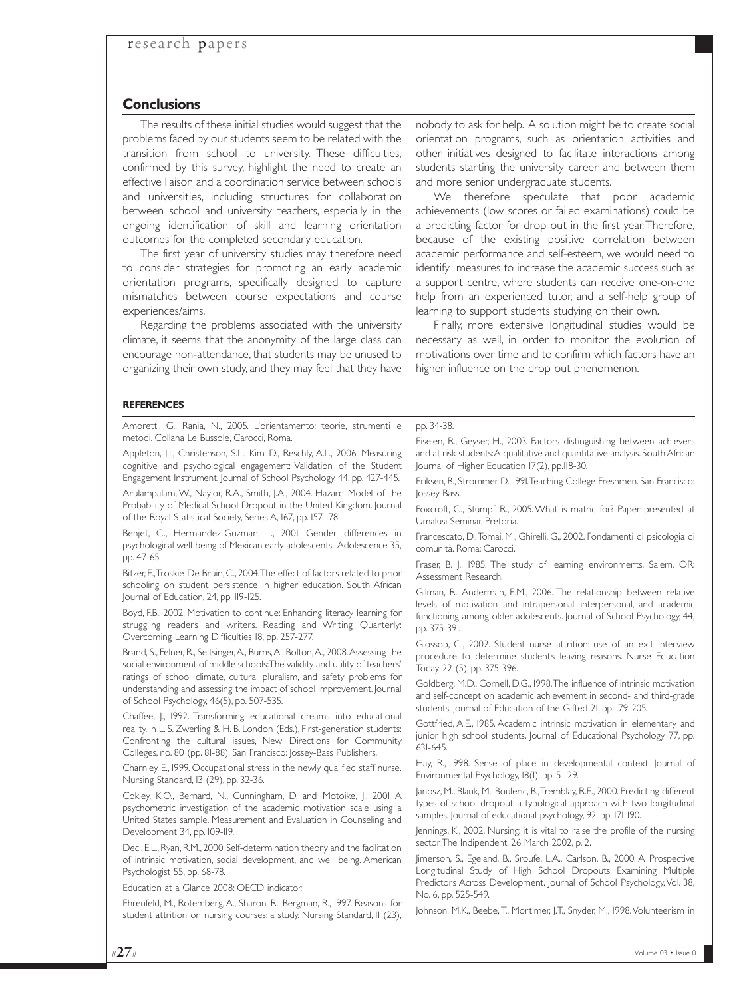### **Conclusions**

The results of these initial studies would suggest that the problems faced by our students seem to be related with the transition from school to university. These difficulties, confirmed by this survey, highlight the need to create an effective liaison and a coordination service between schools and universities, including structures for collaboration between school and university teachers, especially in the ongoing identification of skill and learning orientation outcomes for the completed secondary education.

The first year of university studies may therefore need to consider strategies for promoting an early academic orientation programs, specifically designed to capture mismatches between course expectations and course experiences/aims.

Regarding the problems associated with the university climate, it seems that the anonymity of the large class can encourage non-attendance, that students may be unused to organizing their own study, and they may feel that they have

nobody to ask for help. A solution might be to create social orientation programs, such as orientation activities and other initiatives designed to facilitate interactions among students starting the university career and between them and more senior undergraduate students.

We therefore speculate that poor academic achievements (low scores or failed examinations) could be a predicting factor for drop out in the first year.Therefore, because of the existing positive correlation between academic performance and self-esteem, we would need to identify measures to increase the academic success such as a support centre, where students can receive one-on-one help from an experienced tutor, and a self-help group of learning to support students studying on their own.

Finally, more extensive longitudinal studies would be necessary as well, in order to monitor the evolution of motivations over time and to confirm which factors have an higher influence on the drop out phenomenon.

#### **REFERENCES**

Amoretti, G., Rania, N., 2005. L'orientamento: teorie, strumenti e metodi. Collana Le Bussole, Carocci, Roma. Appleton, J.J., Christenson, S.L., Kim D., Reschly, A.L., 2006. Measuring cognitive and psychological engagement: Validation of the Student

Engagement Instrument. Journal of School Psychology, 44, pp. 427-445. Arulampalam, W., Naylor, R.A., Smith, J.A., 2004. Hazard Model of the Probability of Medical School Dropout in the United Kingdom. Journal of the Royal Statistical Society, Series A, 167, pp. 157-178.

Benjet, C., Hermandez-Guzman, L., 2001. Gender differences in psychological well-being of Mexican early adolescents. Adolescence 35, pp. 47-65.

Bitzer, E.,Troskie-De Bruin, C., 2004.The effect of factors related to prior schooling on student persistence in higher education. South African Journal of Education, 24, pp. 119-125.

Boyd, F.B., 2002. Motivation to continue: Enhancing literacy learning for struggling readers and writers. Reading and Writing Quarterly: Overcoming Learning Difficulties 18, pp. 257-277.

Brand, S., Felner, R., Seitsinger,A., Burns,A., Bolton,A., 2008.Assessing the social environment of middle schools:The validity and utility of teachers' ratings of school climate, cultural pluralism, and safety problems for understanding and assessing the impact of school improvement. Journal of School Psychology, 46(5), pp. 507-535.

Chaffee, J., 1992. Transforming educational dreams into educational reality. In L. S. Zwerling & H. B. London (Eds.), First-generation students: Confronting the cultural issues, New Directions for Community Colleges, no. 80 (pp. 81-88). San Francisco: Jossey-Bass Publishers.

Charnley, E., 1999. Occupational stress in the newly qualified staff nurse. Nursing Standard, 13 (29), pp. 32-36.

Cokley, K.O., Bernard, N., Cunningham, D. and Motoike, J., 2001. A psychometric investigation of the academic motivation scale using a United States sample. Measurement and Evaluation in Counseling and Development 34, pp. 109-119.

Deci,E.L.,Ryan,R.M.,2000.Self-determination theory and the facilitation of intrinsic motivation, social development, and well being. American Psychologist 55, pp. 68-78.

Education at a Glance 2008: OECD indicator.

Ehrenfeld, M., Rotemberg,A., Sharon, R., Bergman, R., 1997. Reasons for student attrition on nursing courses: a study. Nursing Standard, 11 (23), pp. 34-38.

Eiselen, R., Geyser, H., 2003. Factors distinguishing between achievers and at risk students:A qualitative and quantitative analysis. South African Journal of Higher Education 17(2), pp.118-30.

Eriksen, B., Strommer, D., 1991.Teaching College Freshmen. San Francisco: Jossey Bass.

Foxcroft, C., Stumpf, R., 2005. What is matric for? Paper presented at Umalusi Seminar, Pretoria.

Francescato, D.,Tomai, M., Ghirelli, G., 2002. Fondamenti di psicologia di comunità. Roma: Carocci.

Fraser, B. J., 1985. The study of learning environments. Salem, OR: Assessment Research.

Gilman, R., Anderman, E.M., 2006. The relationship between relative levels of motivation and intrapersonal, interpersonal, and academic functioning among older adolescents. Journal of School Psychology, 44, pp. 375-391.

Glossop, C., 2002. Student nurse attrition: use of an exit interview procedure to determine student's leaving reasons. Nurse Education Today 22 (5), pp. 375-396.

Goldberg, M.D., Cornell, D.G., 1998.The influence of intrinsic motivation and self-concept on academic achievement in second- and third-grade students, Journal of Education of the Gifted 21, pp. 179-205.

Gottfried, A.E., 1985. Academic intrinsic motivation in elementary and junior high school students. Journal of Educational Psychology 77, pp. 631-645.

Hay, R., 1998. Sense of place in developmental context. Journal of Environmental Psychology, 18(1), pp. 5- 29.

Janosz, M., Blank, M., Bouleric, B.,Tremblay, R.E., 2000. Predicting different types of school dropout: a typological approach with two longitudinal samples. Journal of educational psychology, 92, pp. 171-190.

Jennings, K., 2002. Nursing: it is vital to raise the profile of the nursing sector.The Indipendent, 26 March 2002, p. 2.

Jimerson, S., Egeland, B., Sroufe, L.A., Carlson, B., 2000. A Prospective Longitudinal Study of High School Dropouts Examining Multiple Predictors Across Development. Journal of School Psychology, Vol. 38, No. 6, pp. 525-549.

Johnson, M.K., Beebe,T., Mortimer, J.T., Snyder, M., 1998.Volunteerism in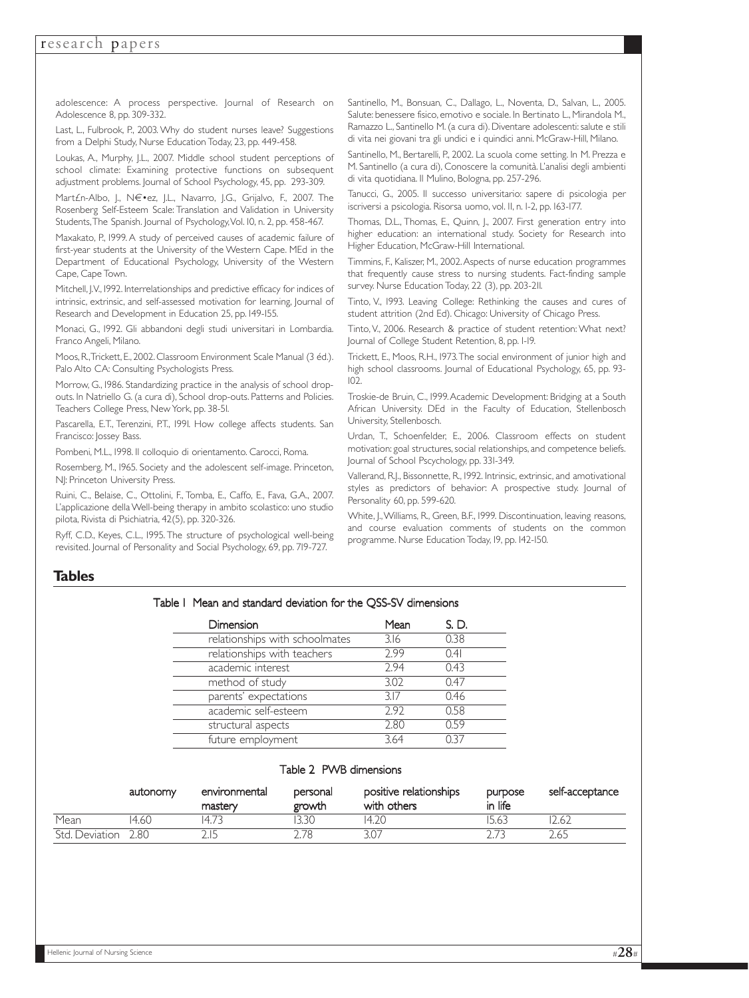adolescence: A process perspective. Journal of Research on Adolescence 8, pp. 309-332.

Last, L., Fulbrook, P., 2003. Why do student nurses leave? Suggestions from a Delphi Study, Nurse Education Today, 23, pp. 449-458.

Loukas, A., Murphy, J.L., 2007. Middle school student perceptions of school climate: Examining protective functions on subsequent adjustment problems. Journal of School Psychology, 45, pp. 293-309.

Mart£n-Albo, J., N€•ez, J.L., Navarro, J.G., Grijalvo, F., 2007. The Rosenberg Self-Esteem Scale: Translation and Validation in University Students,The Spanish. Journal of Psychology,Vol. 10, n. 2, pp. 458-467.

Maxakato, P., 1999. A study of perceived causes of academic failure of first-year students at the University of the Western Cape. MEd in the Department of Educational Psychology, University of the Western Cape, Cape Town.

Mitchell, J.V., 1992. Interrelationships and predictive efficacy for indices of intrinsic, extrinsic, and self-assessed motivation for learning, Journal of Research and Development in Education 25, pp. 149-155.

Monaci, G., 1992. Gli abbandoni degli studi universitari in Lombardia. Franco Angeli, Milano.

Moos, R.,Trickett, E., 2002. Classroom Environment Scale Manual (3 éd.). Palo Alto CA: Consulting Psychologists Press.

Morrow, G., 1986. Standardizing practice in the analysis of school dropouts. In Natriello G. (a cura di), School drop-outs. Patterns and Policies. Teachers College Press, New York, pp. 38-51.

Pascarella, E.T., Terenzini, P.T., 1991. How college affects students. San Francisco: Jossey Bass.

Pombeni, M.L., 1998. Il colloquio di orientamento. Carocci, Roma.

Rosemberg, M., 1965. Society and the adolescent self-image. Princeton, NJ: Princeton University Press.

Ruini, C., Belaise, C., Ottolini, F., Tomba, E., Caffo, E., Fava, G.A., 2007. L'applicazione della Well-being therapy in ambito scolastico: uno studio pilota, Rivista di Psichiatria, 42(5), pp. 320-326.

Ryff, C.D., Keyes, C.L., 1995. The structure of psychological well-being revisited. Journal of Personality and Social Psychology, 69, pp. 719-727.

Santinello, M., Bonsuan, C., Dallago, L., Noventa, D., Salvan, L., 2005. Salute: benessere fisico, emotivo e sociale. In Bertinato L., Mirandola M., Ramazzo L., Santinello M. (a cura di). Diventare adolescenti: salute e stili di vita nei giovani tra gli undici e i quindici anni. McGraw-Hill, Milano.

Santinello, M., Bertarelli, P., 2002. La scuola come setting. In M. Prezza e M. Santinello (a cura di), Conoscere la comunità. L'analisi degli ambienti di vita quotidiana. Il Mulino, Bologna, pp. 257-296.

Tanucci, G., 2005. Il successo universitario: sapere di psicologia per iscriversi a psicologia. Risorsa uomo, vol. 11, n. 1-2, pp. 163-177.

Thomas, D.L., Thomas, E., Quinn, J., 2007. First generation entry into higher education: an international study. Society for Research into Higher Education, McGraw-Hill International.

Timmins, F., Kaliszer, M., 2002.Aspects of nurse education programmes that frequently cause stress to nursing students. Fact-finding sample survey. Nurse Education Today, 22 (3), pp. 203-211.

Tinto, V., 1993. Leaving College: Rethinking the causes and cures of student attrition (2nd Ed). Chicago: University of Chicago Press.

Tinto, V., 2006. Research & practice of student retention: What next? Journal of College Student Retention, 8, pp. 1-19.

Trickett, E., Moos, R.H., 1973.The social environment of junior high and high school classrooms. Journal of Educational Psychology, 65, pp. 93- 102.

Troskie-de Bruin, C., 1999.Academic Development: Bridging at a South African University. DEd in the Faculty of Education, Stellenbosch University, Stellenbosch.

Urdan, T., Schoenfelder, E., 2006. Classroom effects on student motivation: goal structures, social relationships, and competence beliefs. Journal of School Pscychology, pp. 331-349.

Vallerand, R.J., Bissonnette, R., 1992. Intrinsic, extrinsic, and amotivational styles as predictors of behavior: A prospective study. Journal of Personality 60, pp. 599-620.

White, J.,Williams, R., Green, B.F., 1999. Discontinuation, leaving reasons, and course evaluation comments of students on the common programme. Nurse Education Today, 19, pp. 142-150.

## **Tables**

#### Table 1 Mean and standard deviation for the QSS-SV dimensions

| <b>Dimension</b>               | Mean | S. D. |
|--------------------------------|------|-------|
| relationships with schoolmates | 3.16 | 0.38  |
| relationships with teachers    | 2.99 | 0.41  |
| academic interest              | 7.94 | 0.43  |
| method of study                | 3.02 | 0.47  |
| parents' expectations          | 3.17 | 0.46  |
| academic self-esteem           | 2.92 | 0.58  |
| structural aspects             | 2.80 | 0.59  |
| future employment              | 3.64 |       |

#### Table 2 PWB dimensions

|                | autonomy | environmental<br>mastery | personal<br>growth | positive relationships<br>with others | purpose<br>in life | self-acceptance |
|----------------|----------|--------------------------|--------------------|---------------------------------------|--------------------|-----------------|
| Mean           | 14.60    | 147                      |                    | 14.20                                 | 5.63               |                 |
| Std. Deviation | 2.80     |                          | ` 78               |                                       |                    | 2.65            |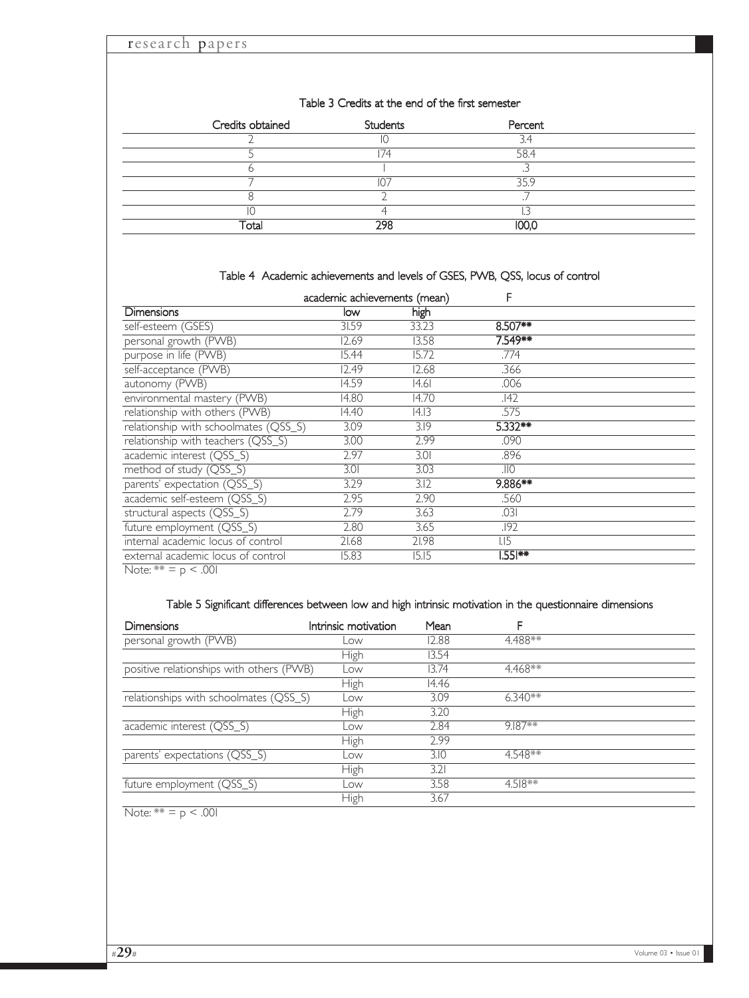## Table 3 Credits at the end of the first semester

| Credits obtained | Students | Percent |  |
|------------------|----------|---------|--|
|                  | ΙJ       | ∍.      |  |
|                  | 174      | 58.4    |  |
|                  |          |         |  |
|                  | $\cap$   | 3 L Q   |  |
|                  |          |         |  |
|                  |          |         |  |
|                  | 298      |         |  |

## Table 4 Academic achievements and levels of GSES, PWB, QSS, locus of control

|                                       | academic achievements (mean) |       | F          |  |
|---------------------------------------|------------------------------|-------|------------|--|
| <b>Dimensions</b>                     | low                          | high  |            |  |
| self-esteem (GSES)                    | 31.59                        | 33.23 | $8.507***$ |  |
| personal growth (PWB)                 | 12.69                        | 13.58 | 7.549**    |  |
| purpose in life (PWB)                 | 15.44                        | 15.72 | .774       |  |
| self-acceptance (PWB)                 | 12.49                        | 12.68 | .366       |  |
| autonomy (PWB)                        | 14.59                        | 14.61 | .006       |  |
| environmental mastery (PWB)           | 14.80                        | 14.70 | .142       |  |
| relationship with others (PWB)        | 14.40                        | 4.13  | .575       |  |
| relationship with schoolmates (QSS_S) | 3.09                         | 3.19  | $5.332**$  |  |
| relationship with teachers (QSS_S)    | 3.00                         | 2.99  | .090       |  |
| academic interest (QSS_S)             | 2.97                         | 3.01  | .896       |  |
| method of study (QSS_S)               | 3.01                         | 3.03  | .IIO       |  |
| parents' expectation (QSS_S)          | 3.29                         | 3.12  | 9.886**    |  |
| academic self-esteem (QSS_S)          | 2.95                         | 2.90  | .560       |  |
| structural aspects (QSS_S)            | 2.79                         | 3.63  | .031       |  |
| future employment (QSS_S)             | 2.80                         | 3.65  | .192       |  |
| internal academic locus of control    | 21.68                        | 21.98 | $L_{15}$   |  |
| external academic locus of control    | 15.83                        | 15.15 | l.551**    |  |
| $N_{0+0}$ ** $ \sim$ 00               |                              |       |            |  |

Note:  $** = p < .001$ 

## Table 5 Significant differences between low and high intrinsic motivation in the questionnaire dimensions

| <b>Dimensions</b>                        | Intrinsic motivation | Mean  |           |  |
|------------------------------------------|----------------------|-------|-----------|--|
| personal growth (PWB)                    | Low                  | 12.88 | 4.488**   |  |
|                                          | High                 | 13.54 |           |  |
| positive relationships with others (PWB) | Low                  | 13.74 | 4.468**   |  |
|                                          | High                 | 14.46 |           |  |
| relationships with schoolmates (QSS_S)   | Low                  | 3.09  | $6.340**$ |  |
|                                          | High                 | 3.20  |           |  |
| academic interest (QSS_S)                | Low                  | 2.84  | 9.187**   |  |
|                                          | High                 | 2.99  |           |  |
| parents' expectations (QSS_S)            | Low                  | 3.10  | 4.548**   |  |
|                                          | High                 | 3.21  |           |  |
| future employment (QSS_S)                | Low                  | 3.58  | $4.518**$ |  |
|                                          | High                 | 3.67  |           |  |

Note:  $** = p < .001$